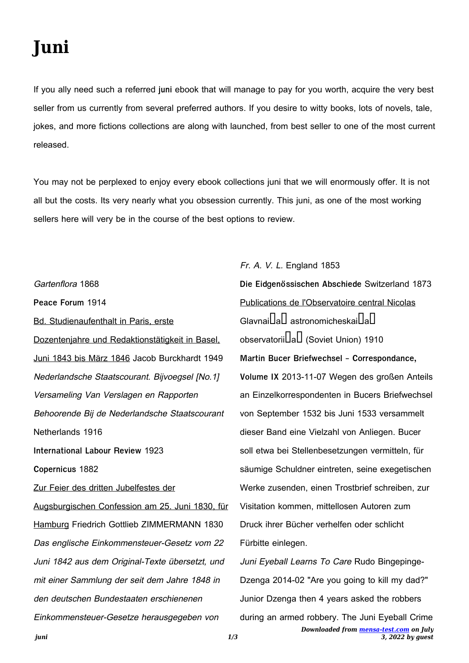## **Juni**

If you ally need such a referred **juni** ebook that will manage to pay for you worth, acquire the very best seller from us currently from several preferred authors. If you desire to witty books, lots of novels, tale, jokes, and more fictions collections are along with launched, from best seller to one of the most current released.

You may not be perplexed to enjoy every ebook collections juni that we will enormously offer. It is not all but the costs. Its very nearly what you obsession currently. This juni, as one of the most working sellers here will very be in the course of the best options to review.

Gartenflora 1868 **Peace Forum** 1914 Bd. Studienaufenthalt in Paris, erste Dozentenjahre und Redaktionstätigkeit in Basel, Juni 1843 bis März 1846 Jacob Burckhardt 1949 Nederlandsche Staatscourant. Bijvoegsel [No.1] Versameling Van Verslagen en Rapporten Behoorende Bij de Nederlandsche Staatscourant Netherlands 1916 **International Labour Review** 1923 **Copernicus** 1882 Zur Feier des dritten Jubelfestes der Augsburgischen Confession am 25. Juni 1830, für Hamburg Friedrich Gottlieb ZIMMERMANN 1830 Das englische Einkommensteuer-Gesetz vom 22 Juni 1842 aus dem Original-Texte übersetzt, und mit einer Sammlung der seit dem Jahre 1848 in den deutschen Bundestaaten erschienenen Einkommensteuer-Gesetze herausgegeben von

## Fr. A. V. L. England 1853

**Die Eidgenössischen Abschiede** Switzerland 1873 Publications de l'Observatoire central Nicolas  $G$ lavnai $L$ a $L$  astronomicheskai $L$ a $L$ observatorii**lal** (Soviet Union) 1910 **Martin Bucer Briefwechsel - Correspondance, Volume IX** 2013-11-07 Wegen des großen Anteils an Einzelkorrespondenten in Bucers Briefwechsel von September 1532 bis Juni 1533 versammelt dieser Band eine Vielzahl von Anliegen. Bucer soll etwa bei Stellenbesetzungen vermitteln, für säumige Schuldner eintreten, seine exegetischen Werke zusenden, einen Trostbrief schreiben, zur Visitation kommen, mittellosen Autoren zum Druck ihrer Bücher verhelfen oder schlicht Fürbitte einlegen. Juni Eyeball Learns To Care Rudo Bingepinge-

*Downloaded from [mensa-test.com](https://mensa-test.com) on July 3, 2022 by guest* Dzenga 2014-02 "Are you going to kill my dad?" Junior Dzenga then 4 years asked the robbers during an armed robbery. The Juni Eyeball Crime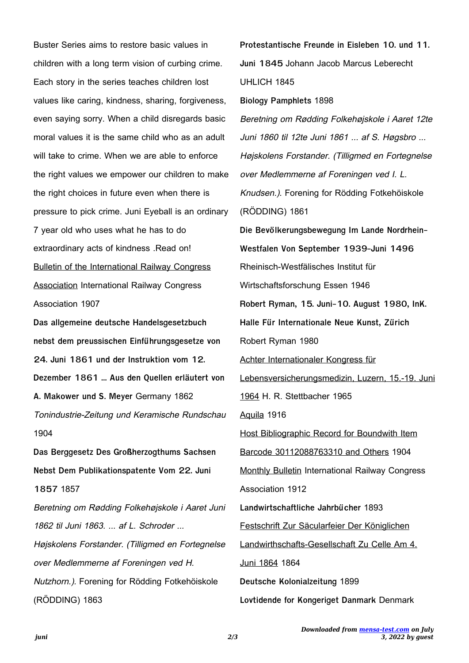Buster Series aims to restore basic values in children with a long term vision of curbing crime. Each story in the series teaches children lost values like caring, kindness, sharing, forgiveness, even saying sorry. When a child disregards basic moral values it is the same child who as an adult will take to crime. When we are able to enforce the right values we empower our children to make the right choices in future even when there is pressure to pick crime. Juni Eyeball is an ordinary 7 year old who uses what he has to do extraordinary acts of kindness .Read on! Bulletin of the International Railway Congress Association International Railway Congress Association 1907

**Das allgemeine deutsche Handelsgesetzbuch nebst dem preussischen Einführungsgesetze von 24. Juni 1861 und der Instruktion vom 12. Dezember 1861 ... Aus den Quellen erläutert von A. Makower und S. Meyer** Germany 1862 Tonindustrie-Zeitung und Keramische Rundschau 1904

**Das Berggesetz Des Großherzogthums Sachsen Nebst Dem Publikationspatente Vom 22. Juni 1857** 1857

Beretning om Rødding Folkehøjskole i Aaret Juni 1862 til Juni 1863. ... af L. Schroder ... Højskolens Forstander. (Tilligmed en Fortegnelse over Medlemmerne af Foreningen ved H. Nutzhorn.). Forening for Rödding Fotkehöiskole (RÖDDING) 1863

**Protestantische Freunde in Eisleben 10. und 11. Juni 1845** Johann Jacob Marcus Leberecht UHLICH 1845 **Biology Pamphlets** 1898 Beretning om Rødding Folkehøjskole i Aaret 12te Juni 1860 til 12te Juni 1861 ... af S. Høgsbro ... Højskolens Forstander. (Tilligmed en Fortegnelse over Medlemmerne af Foreningen ved I. L. Knudsen.). Forening for Rödding Fotkehöiskole (RÖDDING) 1861 **Die Bevölkerungsbewegung Im Lande Nordrhein-Westfalen Von September 1939-Juni 1496** Rheinisch-Westfälisches Institut für Wirtschaftsforschung Essen 1946 **Robert Ryman, 15. Juni-10. August 1980, InK. Halle Für Internationale Neue Kunst, Zürich** Robert Ryman 1980 Achter Internationaler Kongress für Lebensversicherungsmedizin, Luzern, 15.-19. Juni 1964 H. R. Stettbacher 1965 Aquila 1916 Host Bibliographic Record for Boundwith Item Barcode 30112088763310 and Others 1904 Monthly Bulletin International Railway Congress Association 1912 **Landwirtschaftliche Jahrbücher** 1893 Festschrift Zur Säcularfeier Der Königlichen Landwirthschafts-Gesellschaft Zu Celle Am 4. Juni 1864 1864 **Deutsche Kolonialzeitung** 1899 **Lovtidende for Kongeriget Danmark** Denmark